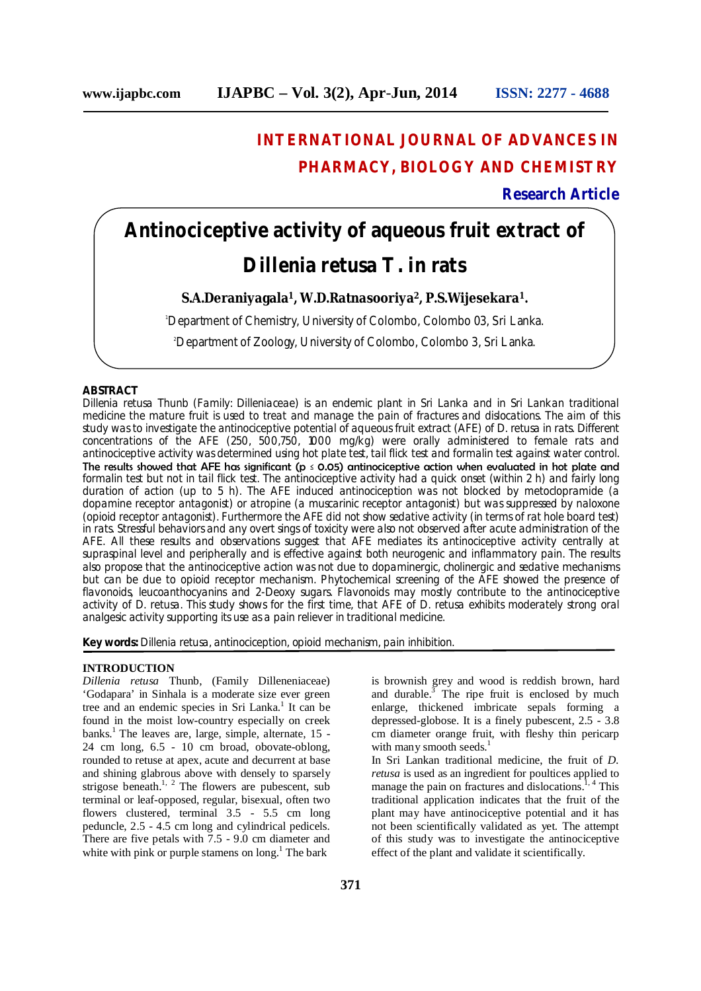## **INTERNATIONAL JOURNAL OF ADVANCES IN PHARMACY, BIOLOGY AND CHEMISTRY**

## **Research Article**

# **Antinociceptive activity of aqueous fruit extract of**  *Dillenia retusa* **T. in rats**

## **S.A.Deraniyagala<sup>1</sup>, W.D.Ratnasooriya<sup>2</sup>, P.S.Wijesekara<sup>1</sup>.**

<sup>1</sup>Department of Chemistry, University of Colombo, Colombo 03, Sri Lanka.

2Department of Zoology, University of Colombo, Colombo 3, Sri Lanka.

## **ABSTRACT**

*Dillenia retusa* Thunb (Family: Dilleniaceae) is an endemic plant in Sri Lanka and in Sri Lankan traditional medicine the mature fruit is used to treat and manage the pain of fractures and dislocations. The aim of this study was to investigate the antinociceptive potential of aqueous fruit extract (AFE) of *D. retusa* in rats. Different concentrations of the AFE (250, 500,750, 1000 mg/kg) were orally administered to female rats and antinociceptive activity was determined using hot plate test, tail flick test and formalin test against water control. The results showed that AFE has significant ( $p \le 0.05$ ) antinociceptive action when evaluated in hot plate and formalin test but not in tail flick test. The antinociceptive activity had a quick onset (within 2 h) and fairly long duration of action (up to 5 h). The AFE induced antinociception was not blocked by metoclopramide (a dopamine receptor antagonist) or atropine (a muscarinic receptor antagonist) but was suppressed by naloxone (opioid receptor antagonist). Furthermore the AFE did not show sedative activity (in terms of rat hole board test) in rats. Stressful behaviors and any overt sings of toxicity were also not observed after acute administration of the AFE. All these results and observations suggest that AFE mediates its antinociceptive activity centrally at supraspinal level and peripherally and is effective against both neurogenic and inflammatory pain. The results also propose that the antinociceptive action was not due to dopaminergic, cholinergic and sedative mechanisms but can be due to opioid receptor mechanism. Phytochemical screening of the AFE showed the presence of flavonoids, leucoanthocyanins and 2-Deoxy sugars. Flavonoids may mostly contribute to the antinociceptive activity of *D. retusa*. This study shows for the first time, that AFE of *D. retusa* exhibits moderately strong oral analgesic activity supporting its use as a pain reliever in traditional medicine.

**Key words:** *Dillenia retusa*, antinociception, opioid mechanism, pain inhibition.

### **INTRODUCTION**

*Dillenia retusa* Thunb, (Family Dilleneniaceae) 'Godapara' in Sinhala is a moderate size ever green tree and an endemic species in Sri Lanka.<sup>1</sup> It can be found in the moist low-country especially on creek banks.<sup>1</sup> The leaves are, large, simple, alternate, 15 -24 cm long, 6.5 - 10 cm broad, obovate-oblong, rounded to retuse at apex, acute and decurrent at base and shining glabrous above with densely to sparsely strigose beneath.<sup>1, 2</sup> The flowers are pubescent, sub terminal or leaf-opposed, regular, bisexual, often two flowers clustered, terminal 3.5 - 5.5 cm long peduncle, 2.5 - 4.5 cm long and cylindrical pedicels. There are five petals with 7.5 - 9.0 cm diameter and white with pink or purple stamens on  $long<sup>1</sup>$ . The bark

is brownish grey and wood is reddish brown, hard and durable. $\bar{3}$  The ripe fruit is enclosed by much enlarge, thickened imbricate sepals forming a depressed-globose. It is a finely pubescent, 2.5 - 3.8 cm diameter orange fruit, with fleshy thin pericarp with many smooth seeds.<sup>1</sup>

In Sri Lankan traditional medicine, the fruit of *D. retusa* is used as an ingredient for poultices applied to manage the pain on fractures and dislocations.<sup>1, 4</sup> This traditional application indicates that the fruit of the plant may have antinociceptive potential and it has not been scientifically validated as yet. The attempt of this study was to investigate the antinociceptive effect of the plant and validate it scientifically.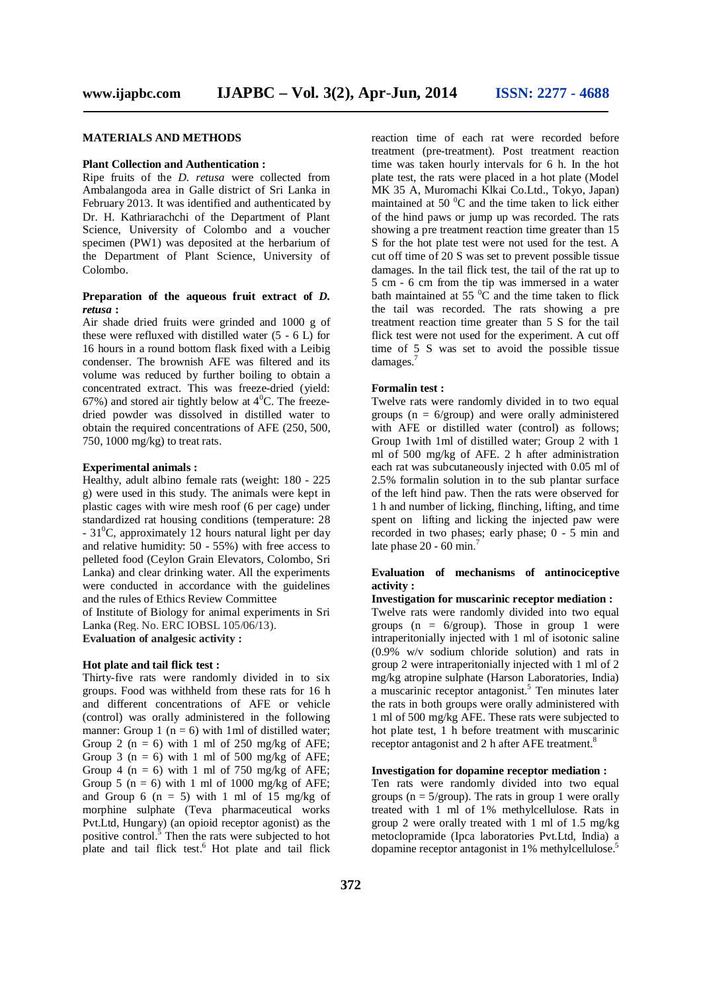#### **MATERIALS AND METHODS**

#### **Plant Collection and Authentication :**

Ripe fruits of the *D. retusa* were collected from Ambalangoda area in Galle district of Sri Lanka in February 2013. It was identified and authenticated by Dr. H. Kathriarachchi of the Department of Plant Science, University of Colombo and a voucher specimen (PW1) was deposited at the herbarium of the Department of Plant Science, University of Colombo.

### **Preparation of the aqueous fruit extract of** *D. retusa* **:**

Air shade dried fruits were grinded and 1000 g of these were refluxed with distilled water (5 - 6 L) for 16 hours in a round bottom flask fixed with a Leibig condenser. The brownish AFE was filtered and its volume was reduced by further boiling to obtain a concentrated extract. This was freeze-dried (yield: 67%) and stored air tightly below at  $4^{\circ}$ C. The freezedried powder was dissolved in distilled water to obtain the required concentrations of AFE (250, 500, 750, 1000 mg/kg) to treat rats.

#### **Experimental animals :**

Healthy, adult albino female rats (weight: 180 - 225 g) were used in this study. The animals were kept in plastic cages with wire mesh roof (6 per cage) under standardized rat housing conditions (temperature: 28  $-31^{\circ}$ C, approximately 12 hours natural light per day and relative humidity: 50 - 55%) with free access to pelleted food (Ceylon Grain Elevators, Colombo, Sri Lanka) and clear drinking water. All the experiments were conducted in accordance with the guidelines and the rules of Ethics Review Committee

of Institute of Biology for animal experiments in Sri Lanka (Reg. No. ERC IOBSL 105/06/13). **Evaluation of analgesic activity :**

## **Hot plate and tail flick test :**

Thirty-five rats were randomly divided in to six groups. Food was withheld from these rats for 16 h and different concentrations of AFE or vehicle (control) was orally administered in the following manner: Group 1 ( $n = 6$ ) with 1 ml of distilled water; Group 2 ( $n = 6$ ) with 1 ml of 250 mg/kg of AFE; Group 3 ( $n = 6$ ) with 1 ml of 500 mg/kg of AFE; Group 4 ( $n = 6$ ) with 1 ml of 750 mg/kg of AFE; Group 5 ( $n = 6$ ) with 1 ml of 1000 mg/kg of AFE; and Group 6 ( $n = 5$ ) with 1 ml of 15 mg/kg of morphine sulphate (Teva pharmaceutical works Pvt.Ltd, Hungary) (an opioid receptor agonist) as the positive control.<sup>5</sup> Then the rats were subjected to hot plate and tail flick test. $6$  Hot plate and tail flick

reaction time of each rat were recorded before treatment (pre-treatment). Post treatment reaction time was taken hourly intervals for 6 h. In the hot plate test, the rats were placed in a hot plate (Model MK 35 A, Muromachi Klkai Co.Ltd., Tokyo, Japan) maintained at 50 $\mathrm{^{0}C}$  and the time taken to lick either of the hind paws or jump up was recorded. The rats showing a pre treatment reaction time greater than 15 S for the hot plate test were not used for the test. A cut off time of 20 S was set to prevent possible tissue damages. In the tail flick test, the tail of the rat up to 5 cm - 6 cm from the tip was immersed in a water bath maintained at 55 $\mathrm{^{0}C}$  and the time taken to flick the tail was recorded. The rats showing a pre treatment reaction time greater than 5 S for the tail flick test were not used for the experiment. A cut off time of 5 S was set to avoid the possible tissue damages.<sup>7</sup>

#### **Formalin test :**

Twelve rats were randomly divided in to two equal groups ( $n = 6$ /group) and were orally administered with AFE or distilled water (control) as follows; Group 1with 1ml of distilled water; Group 2 with 1 ml of 500 mg/kg of AFE. 2 h after administration each rat was subcutaneously injected with 0.05 ml of 2.5% formalin solution in to the sub plantar surface of the left hind paw. Then the rats were observed for 1 h and number of licking, flinching, lifting, and time spent on lifting and licking the injected paw were recorded in two phases; early phase; 0 - 5 min and late phase  $20 - 60$  min.<sup>7</sup>

## **Evaluation of mechanisms of antinociceptive activity :**

## **Investigation for muscarinic receptor mediation :**

Twelve rats were randomly divided into two equal groups ( $n = 6$ /group). Those in group 1 were intraperitonially injected with 1 ml of isotonic saline (0.9% w/v sodium chloride solution) and rats in group 2 were intraperitonially injected with 1 ml of 2 mg/kg atropine sulphate (Harson Laboratories, India) a muscarinic receptor antagonist.<sup>5</sup> Ten minutes later the rats in both groups were orally administered with 1 ml of 500 mg/kg AFE. These rats were subjected to hot plate test, 1 h before treatment with muscarinic receptor antagonist and 2 h after AFE treatment.<sup>8</sup>

## **Investigation for dopamine receptor mediation :**

Ten rats were randomly divided into two equal groups ( $n = 5$ /group). The rats in group 1 were orally treated with 1 ml of 1% methylcellulose. Rats in group 2 were orally treated with 1 ml of 1.5 mg/kg metoclopramide (Ipca laboratories Pvt.Ltd, India) a dopamine receptor antagonist in 1% methylcellulose.<sup>5</sup>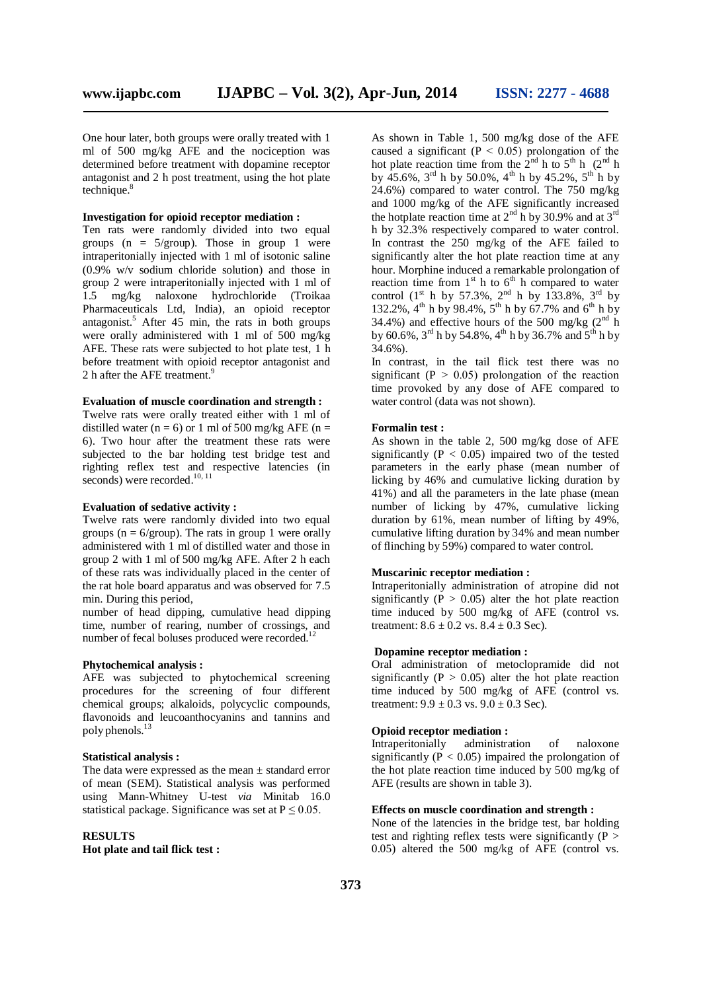One hour later, both groups were orally treated with 1 ml of 500 mg/kg AFE and the nociception was determined before treatment with dopamine receptor antagonist and 2 h post treatment, using the hot plate technique.<sup>8</sup>

#### **Investigation for opioid receptor mediation :**

Ten rats were randomly divided into two equal groups ( $n = 5$ /group). Those in group 1 were intraperitonially injected with 1 ml of isotonic saline (0.9% w/v sodium chloride solution) and those in group 2 were intraperitonially injected with 1 ml of 1.5 mg/kg naloxone hydrochloride (Troikaa Pharmaceuticals Ltd, India), an opioid receptor antagonist.<sup>5</sup> After 45 min, the rats in both groups were orally administered with 1 ml of 500 mg/kg AFE. These rats were subjected to hot plate test, 1 h before treatment with opioid receptor antagonist and 2 h after the AFE treatment.<sup>9</sup>

#### **Evaluation of muscle coordination and strength :**

Twelve rats were orally treated either with 1 ml of distilled water ( $n = 6$ ) or 1 ml of 500 mg/kg AFE ( $n =$ 6). Two hour after the treatment these rats were subjected to the bar holding test bridge test and righting reflex test and respective latencies (in seconds) were recorded.<sup>10, 11</sup>

## **Evaluation of sedative activity :**

Twelve rats were randomly divided into two equal groups ( $n = 6$ /group). The rats in group 1 were orally administered with 1 ml of distilled water and those in group 2 with 1 ml of 500 mg/kg AFE. After 2 h each of these rats was individually placed in the center of the rat hole board apparatus and was observed for 7.5 min. During this period,

number of head dipping, cumulative head dipping time, number of rearing, number of crossings, and number of fecal boluses produced were recorded.<sup>12</sup>

#### **Phytochemical analysis :**

AFE was subjected to phytochemical screening procedures for the screening of four different chemical groups; alkaloids, polycyclic compounds, flavonoids and leucoanthocyanins and tannins and poly phenols.<sup>13</sup>

#### **Statistical analysis :**

The data were expressed as the mean  $\pm$  standard error of mean (SEM). Statistical analysis was performed using Mann-Whitney U-test *via* Minitab 16.0 statistical package. Significance was set at  $P \le 0.05$ .

#### **RESULTS**

**Hot plate and tail flick test :**

As shown in Table 1, 500 mg/kg dose of the AFE caused a significant ( $P < 0.05$ ) prolongation of the hot plate reaction time from the  $2^{nd}$  h to  $5^{th}$  h ( $2^{nd}$  h by  $45.6\%$ ,  $3^{\text{rd}}$  h by  $50.0\%$ ,  $4^{\text{th}}$  h by  $45.2\%$ ,  $5^{\text{th}}$  h by 24.6%) compared to water control. The 750 mg/kg and 1000 mg/kg of the AFE significantly increased the hotplate reaction time at  $2<sup>nd</sup>$  h by 30.9% and at 3<sup>rd</sup> h by 32.3% respectively compared to water control. In contrast the 250 mg/kg of the AFE failed to significantly alter the hot plate reaction time at any hour. Morphine induced a remarkable prolongation of reaction time from  $1<sup>st</sup>$  h to  $6<sup>th</sup>$  h compared to water control  $(1^{st}$  h by 57.3%,  $2^{nd}$  h by 133.8%,  $3^{rd}$  by 132.2%, 4<sup>th</sup> h by 98.4%, 5<sup>th</sup> h by 67.7% and 6<sup>th</sup> h by 34.4%) and effective hours of the 500 mg/kg  $(2^{nd} h)$ by 60.6%, 3<sup>rd</sup> h by 54.8%, 4<sup>th</sup> h by 36.7% and 5<sup>th</sup> h by 34.6%).

In contrast, in the tail flick test there was no significant ( $P > 0.05$ ) prolongation of the reaction time provoked by any dose of AFE compared to water control (data was not shown).

#### **Formalin test :**

As shown in the table 2, 500 mg/kg dose of AFE significantly ( $P < 0.05$ ) impaired two of the tested parameters in the early phase (mean number of licking by 46% and cumulative licking duration by 41%) and all the parameters in the late phase (mean number of licking by 47%, cumulative licking duration by 61%, mean number of lifting by 49%, cumulative lifting duration by 34% and mean number of flinching by 59%) compared to water control.

#### **Muscarinic receptor mediation :**

Intraperitonially administration of atropine did not significantly ( $\dot{P} > 0.05$ ) alter the hot plate reaction time induced by 500 mg/kg of AFE (control vs. treatment:  $8.6 \pm 0.2$  vs.  $8.4 \pm 0.3$  Sec).

## **Dopamine receptor mediation :**

Oral administration of metoclopramide did not significantly ( $P > 0.05$ ) alter the hot plate reaction time induced by 500 mg/kg of AFE (control vs. treatment:  $9.9 + 0.3$  vs.  $9.0 + 0.3$  Sec).

## **Opioid receptor mediation :**

Intraperitonially administration of naloxone significantly ( $\dot{P}$  < 0.05) impaired the prolongation of the hot plate reaction time induced by 500 mg/kg of AFE (results are shown in table 3).

#### **Effects on muscle coordination and strength :**

None of the latencies in the bridge test, bar holding test and righting reflex tests were significantly  $(P >$ 0.05) altered the 500 mg/kg of AFE (control vs.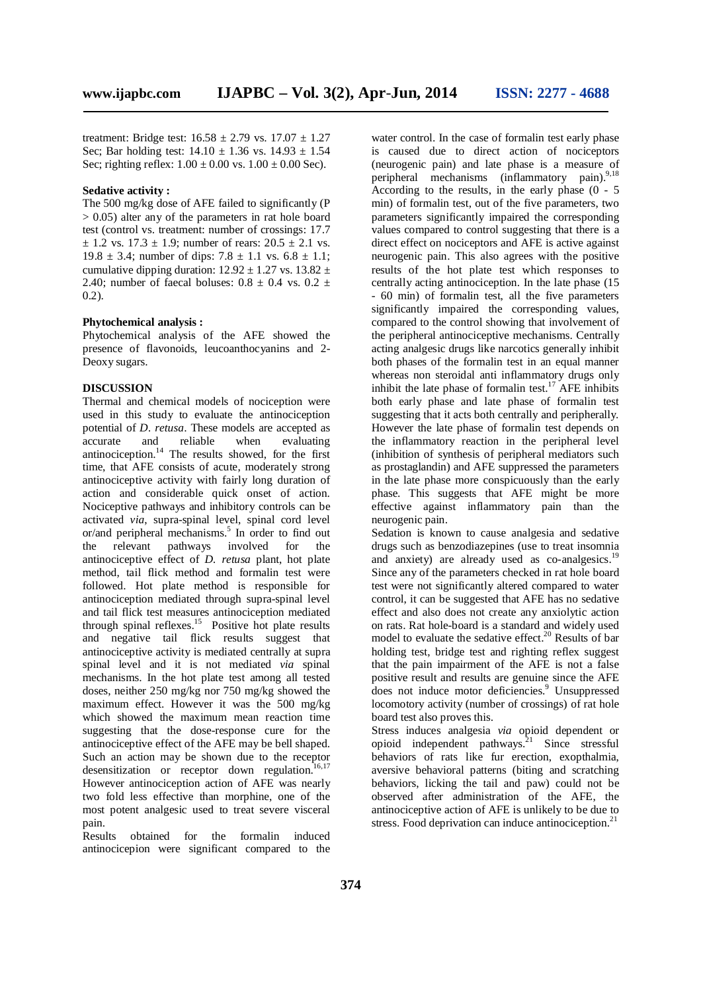treatment: Bridge test:  $16.58 \pm 2.79$  vs.  $17.07 \pm 1.27$ Sec; Bar holding test:  $14.10 \pm 1.36$  vs.  $14.93 \pm 1.54$ Sec; righting reflex:  $1.00 \pm 0.00$  vs.  $1.00 \pm 0.00$  Sec).

#### **Sedative activity :**

The 500 mg/kg dose of AFE failed to significantly (P  $> 0.05$ ) alter any of the parameters in rat hole board test (control vs. treatment: number of crossings: 17.7  $\pm$  1.2 vs. 17.3  $\pm$  1.9; number of rears: 20.5  $\pm$  2.1 vs. 19.8  $\pm$  3.4; number of dips: 7.8  $\pm$  1.1 vs. 6.8  $\pm$  1.1; cumulative dipping duration:  $12.92 \pm 1.27$  vs.  $13.82 \pm$ 2.40; number of faecal boluses:  $0.8 \pm 0.4$  vs.  $0.2 \pm$ 0.2).

#### **Phytochemical analysis :**

Phytochemical analysis of the AFE showed the presence of flavonoids, leucoanthocyanins and 2- Deoxy sugars.

#### **DISCUSSION**

Thermal and chemical models of nociception were used in this study to evaluate the antinociception potential of *D. retusa*. These models are accepted as accurate and reliable when evaluating accurate and reliable when evaluating antinociception.<sup>14</sup> The results showed, for the first time, that AFE consists of acute, moderately strong antinociceptive activity with fairly long duration of action and considerable quick onset of action. Nociceptive pathways and inhibitory controls can be activated *via*, supra-spinal level, spinal cord level or/and peripheral mechanisms.<sup>5</sup> In order to find out the relevant pathways involved for the antinociceptive effect of *D. retusa* plant, hot plate method, tail flick method and formalin test were followed. Hot plate method is responsible for antinociception mediated through supra-spinal level and tail flick test measures antinociception mediated through spinal reflexes.<sup>15</sup> Positive hot plate results and negative tail flick results suggest that antinociceptive activity is mediated centrally at supra spinal level and it is not mediated *via* spinal mechanisms. In the hot plate test among all tested doses, neither 250 mg/kg nor 750 mg/kg showed the maximum effect. However it was the 500 mg/kg which showed the maximum mean reaction time suggesting that the dose-response cure for the antinociceptive effect of the AFE may be bell shaped. Such an action may be shown due to the receptor desensitization or receptor down regulation.<sup>16,17</sup> However antinociception action of AFE was nearly two fold less effective than morphine, one of the most potent analgesic used to treat severe visceral pain.

Results obtained for the formalin induced antinocicepion were significant compared to the

water control. In the case of formalin test early phase is caused due to direct action of nociceptors (neurogenic pain) and late phase is a measure of peripheral mechanisms (inflammatory pain).<sup>9,18</sup> According to the results, in the early phase  $(0 - 5)$ min) of formalin test, out of the five parameters, two parameters significantly impaired the corresponding values compared to control suggesting that there is a direct effect on nociceptors and AFE is active against neurogenic pain. This also agrees with the positive results of the hot plate test which responses to centrally acting antinociception. In the late phase (15 - 60 min) of formalin test, all the five parameters significantly impaired the corresponding values, compared to the control showing that involvement of the peripheral antinociceptive mechanisms. Centrally acting analgesic drugs like narcotics generally inhibit both phases of the formalin test in an equal manner whereas non steroidal anti inflammatory drugs only inhibit the late phase of formal in test.<sup>17</sup> AFE inhibits both early phase and late phase of formalin test suggesting that it acts both centrally and peripherally. However the late phase of formalin test depends on the inflammatory reaction in the peripheral level (inhibition of synthesis of peripheral mediators such as prostaglandin) and AFE suppressed the parameters in the late phase more conspicuously than the early phase. This suggests that AFE might be more effective against inflammatory pain than the neurogenic pain.

Sedation is known to cause analgesia and sedative drugs such as benzodiazepines (use to treat insomnia and anxiety) are already used as co-analgesics.<sup>19</sup> Since any of the parameters checked in rat hole board test were not significantly altered compared to water control, it can be suggested that AFE has no sedative effect and also does not create any anxiolytic action on rats. Rat hole-board is a standard and widely used model to evaluate the sedative effect.<sup>20</sup> Results of bar holding test, bridge test and righting reflex suggest that the pain impairment of the AFE is not a false positive result and results are genuine since the AFE does not induce motor deficiencies.<sup>9</sup> Unsuppressed locomotory activity (number of crossings) of rat hole board test also proves this.

Stress induces analgesia *via* opioid dependent or opioid independent pathways.<sup>21</sup> Since stressful behaviors of rats like fur erection, exopthalmia, aversive behavioral patterns (biting and scratching behaviors, licking the tail and paw) could not be observed after administration of the AFE, the antinociceptive action of AFE is unlikely to be due to stress. Food deprivation can induce antinociception. $21$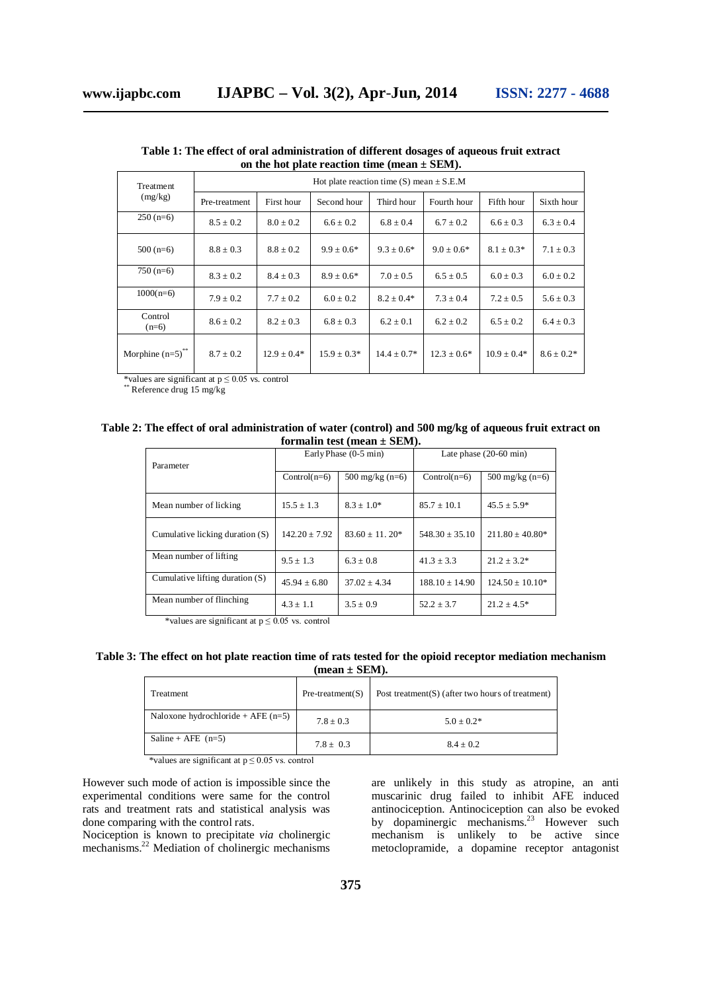| Treatment<br>(mg/kg) | Hot plate reaction time (S) mean $\pm$ S.E.M |               |                 |                 |                |                 |                 |  |
|----------------------|----------------------------------------------|---------------|-----------------|-----------------|----------------|-----------------|-----------------|--|
|                      | Pre-treatment                                | First hour    | Second hour     | Third hour      | Fourth hour    | Fifth hour      | Sixth hour      |  |
| $250(n=6)$           | $8.5 \pm 0.2$                                | $8.0 \pm 0.2$ | $6.6 \pm 0.2$   | $6.8 \pm 0.4$   | $6.7 \pm 0.2$  | $6.6 \pm 0.3$   | $6.3 \pm 0.4$   |  |
| $500(n=6)$           | $8.8 \pm 0.3$                                | $8.8 \pm 0.2$ | $9.9 \pm 0.6^*$ | $9.3 \pm 0.6^*$ | $9.0 \pm 0.6*$ | $8.1 \pm 0.3*$  | $7.1 \pm 0.3$   |  |
| $750(n=6)$           | $8.3 \pm 0.2$                                | $8.4 \pm 0.3$ | $8.9 \pm 0.6*$  | $7.0 \pm 0.5$   | $6.5 \pm 0.5$  | $6.0 \pm 0.3$   | $6.0 \pm 0.2$   |  |
| $1000(n=6)$          | $7.9 \pm 0.2$                                | $7.7 \pm 0.2$ | $6.0 \pm 0.2$   | $8.2 \pm 0.4*$  | $7.3 \pm 0.4$  | $7.2 \pm 0.5$   | $5.6 \pm 0.3$   |  |
| Control<br>$(n=6)$   | $8.6 \pm 0.2$                                | $8.2 \pm 0.3$ | $6.8 \pm 0.3$   | $6.2 \pm 0.1$   | $6.2 \pm 0.2$  | $6.5 \pm 0.2$   | $6.4 \pm 0.3$   |  |
| Morphine $(n=5)^{n}$ | $8.7 + 0.2$                                  | $12.9 + 0.4*$ | $15.9 \pm 0.3*$ | $14.4 + 0.7*$   | $12.3 + 0.6*$  | $10.9 \pm 0.4*$ | $8.6 \pm 0.2^*$ |  |

**Table 1: The effect of oral administration of different dosages of aqueous fruit extract on the hot plate reaction time (mean ± SEM).**

\*values are significant at  $p \le 0.05$  vs. control

\* Reference drug 15 mg/kg

#### **Table 2: The effect of oral administration of water (control) and 500 mg/kg of aqueous fruit extract on formalin test (mean ± SEM).**

| Parameter                       |                   | Early Phase (0-5 min) | Late phase $(20-60 \text{ min})$ |                      |  |
|---------------------------------|-------------------|-----------------------|----------------------------------|----------------------|--|
|                                 | $Control(n=6)$    | 500 mg/kg $(n=6)$     | $Control(n=6)$                   | 500 mg/kg $(n=6)$    |  |
| Mean number of licking          | $15.5 \pm 1.3$    | $8.3 \pm 1.0^*$       | $85.7 \pm 10.1$                  | $45.5 \pm 5.9^*$     |  |
| Cumulative licking duration (S) | $142.20 \pm 7.92$ | $83.60 \pm 11.20*$    | $548.30 \pm 35.10$               | $211.80 \pm 40.80^*$ |  |
| Mean number of lifting          | $9.5 + 1.3$       | $6.3 + 0.8$           | $41.3 \pm 3.3$                   | $21.2 + 3.2*$        |  |
| Cumulative lifting duration (S) | $45.94 \pm 6.80$  | $37.02 + 4.34$        | $188.10 \pm 14.90$               | $124.50 \pm 10.10^*$ |  |
| Mean number of flinching        | $4.3 \pm 1.1$     | $3.5 \pm 0.9$         | $52.2 + 3.7$                     | $21.2 \pm 4.5^*$     |  |

\*values are significant at  $p \le 0.05$  vs. control

## **Table 3: The effect on hot plate reaction time of rats tested for the opioid receptor mediation mechanism (mean ± SEM).**

| Treatment                           | $Pre- treatment(S)$ | Post treatment $(S)$ (after two hours of treatment) |
|-------------------------------------|---------------------|-----------------------------------------------------|
| Naloxone hydrochloride + $AFE(n=5)$ | $7.8 \pm 0.3$       | $5.0 + 0.2*$                                        |
| Saline + AFE $(n=5)$                | $7.8 \pm 0.3$       | $8.4 + 0.2$                                         |

\*values are significant at  $p \le 0.05$  vs. control

However such mode of action is impossible since the experimental conditions were same for the control rats and treatment rats and statistical analysis was done comparing with the control rats.

Nociception is known to precipitate *via* cholinergic mechanisms.<sup>22</sup> Mediation of cholinergic mechanisms

are unlikely in this study as atropine, an anti muscarinic drug failed to inhibit AFE induced antinociception. Antinociception can also be evoked by dopaminergic mechanisms.<sup>23</sup> However such mechanism is unlikely to be active since metoclopramide, a dopamine receptor antagonist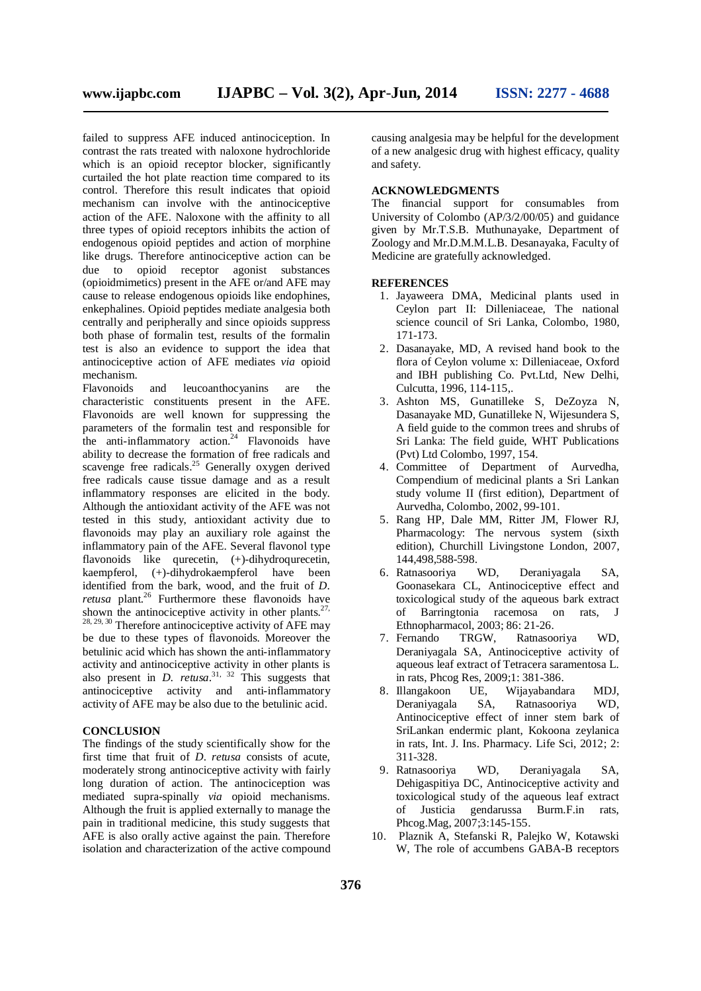failed to suppress AFE induced antinociception. In contrast the rats treated with naloxone hydrochloride which is an opioid receptor blocker, significantly curtailed the hot plate reaction time compared to its control. Therefore this result indicates that opioid mechanism can involve with the antinociceptive action of the AFE. Naloxone with the affinity to all three types of opioid receptors inhibits the action of endogenous opioid peptides and action of morphine like drugs. Therefore antinociceptive action can be due to opioid receptor agonist substances (opioidmimetics) present in the AFE or/and AFE may cause to release endogenous opioids like endophines, enkephalines. Opioid peptides mediate analgesia both centrally and peripherally and since opioids suppress both phase of formalin test, results of the formalin test is also an evidence to support the idea that antinociceptive action of AFE mediates *via* opioid mechanism.

Flavonoids and leucoanthocyanins are the characteristic constituents present in the AFE. Flavonoids are well known for suppressing the parameters of the formalin test and responsible for the anti-inflammatory action.<sup>24</sup> Flavonoids have ability to decrease the formation of free radicals and scavenge free radicals.<sup>25</sup> Generally oxygen derived free radicals cause tissue damage and as a result inflammatory responses are elicited in the body. Although the antioxidant activity of the AFE was not tested in this study, antioxidant activity due to flavonoids may play an auxiliary role against the inflammatory pain of the AFE. Several flavonol type flavonoids like qurecetin,  $(+)$ -dihydroqurecetin, kaempferol, (+)-dihydrokaempferol have been identified from the bark, wood, and the fruit of *D*. *retusa* plant.<sup>26</sup> Furthermore these flavonoids have shown the antinociceptive activity in other plants. $27$ ,  $28, 29, 30$  Therefore antinociceptive activity of AFE may be due to these types of flavonoids. Moreover the betulinic acid which has shown the anti-inflammatory activity and antinociceptive activity in other plants is also present in *D. retusa*.<sup>31, 32</sup> This suggests that antinociceptive activity and anti-inflammatory activity of AFE may be also due to the betulinic acid.

## **CONCLUSION**

The findings of the study scientifically show for the first time that fruit of *D*. *retusa* consists of acute, moderately strong antinociceptive activity with fairly long duration of action. The antinociception was mediated supra-spinally *via* opioid mechanisms. Although the fruit is applied externally to manage the pain in traditional medicine, this study suggests that AFE is also orally active against the pain. Therefore isolation and characterization of the active compound causing analgesia may be helpful for the development of a new analgesic drug with highest efficacy, quality and safety.

## **ACKNOWLEDGMENTS**

The financial support for consumables from University of Colombo (AP/3/2/00/05) and guidance given by Mr.T.S.B. Muthunayake, Department of Zoology and Mr.D.M.M.L.B. Desanayaka, Faculty of Medicine are gratefully acknowledged.

#### **REFERENCES**

- 1. Jayaweera DMA, Medicinal plants used in Ceylon part II: Dilleniaceae, The national science council of Sri Lanka, Colombo, 1980, 171-173.
- 2. Dasanayake, MD, A revised hand book to the flora of Ceylon volume x: Dilleniaceae, Oxford and IBH publishing Co. Pvt.Ltd, New Delhi, Culcutta, 1996, 114-115,.
- 3. Ashton MS, Gunatilleke S, DeZoyza N, Dasanayake MD, Gunatilleke N, Wijesundera S, A field guide to the common trees and shrubs of Sri Lanka: The field guide, WHT Publications (Pvt) Ltd Colombo, 1997, 154.
- 4. Committee of Department of Aurvedha, Compendium of medicinal plants a Sri Lankan study volume II (first edition), Department of Aurvedha, Colombo, 2002, 99-101.
- 5. Rang HP, Dale MM, Ritter JM, Flower RJ, Pharmacology: The nervous system (sixth edition), Churchill Livingstone London, 2007, 144,498,588-598.<br>Ratnasooriya WD,
- 6. Ratnasooriya WD, Deraniyagala SA, Goonasekara CL, Antinociceptive effect and toxicological study of the aqueous bark extract of Barringtonia racemosa on rats, J Ethnopharmacol, 2003; 86: 21-26.<br>7. Fernando TRGW. Ratnasoc
- Ratnasooriya WD, Deraniyagala SA, Antinociceptive activity of aqueous leaf extract of Tetracera saramentosa L. in rats, Phcog Res, 2009;1: 381-386.
- 8. Illangakoon UE, Wijayabandara MDJ, Deraniyagala SA, Ratnasooriya WD, Antinociceptive effect of inner stem bark of SriLankan endermic plant, Kokoona zeylanica in rats, Int. J. Ins. Pharmacy. Life Sci, 2012; 2: 311-328.
- 9. Ratnasooriya WD, Deraniyagala SA, Dehigaspitiya DC, Antinociceptive activity and toxicological study of the aqueous leaf extract of Justicia gendarussa Burm.F.in rats, Phcog.Mag, 2007;3:145-155.
- 10. Plaznik A, Stefanski R, Palejko W, Kotawski W, The role of accumbens GABA-B receptors